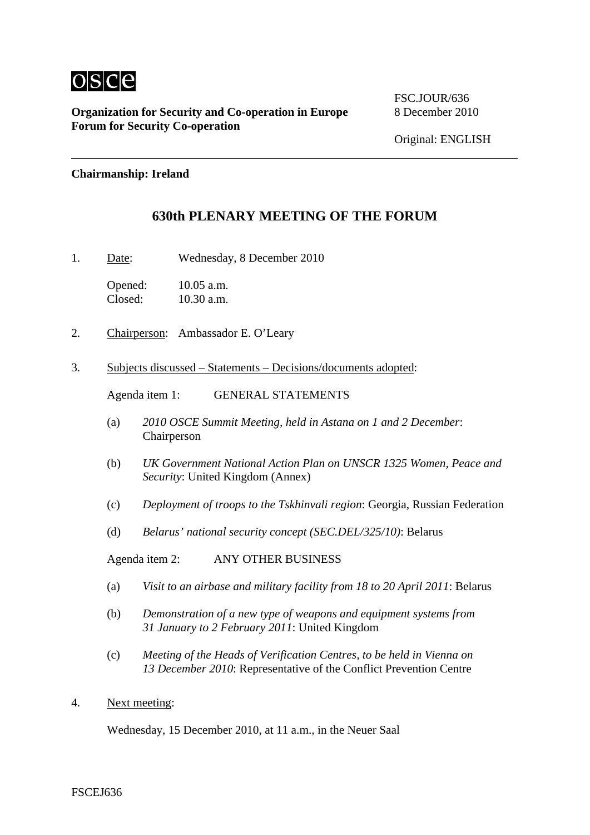

**Organization for Security and Co-operation in Europe** 8 December 2010 **Forum for Security Co-operation**

FSC.JOUR/636

## **Chairmanship: Ireland**

## **630th PLENARY MEETING OF THE FORUM**

1. Date: Wednesday, 8 December 2010

Opened: 10.05 a.m.<br>Closed: 10.30 a.m.  $10.30$  a.m.

- 2. Chairperson: Ambassador E. O'Leary
- 3. Subjects discussed Statements Decisions/documents adopted:

Agenda item 1: GENERAL STATEMENTS

- (a) *2010 OSCE Summit Meeting, held in Astana on 1 and 2 December*: Chairperson
- (b) *UK Government National Action Plan on UNSCR 1325 Women, Peace and Security*: United Kingdom (Annex)
- (c) *Deployment of troops to the Tskhinvali region*: Georgia, Russian Federation
- (d) *Belarus' national security concept (SEC.DEL/325/10)*: Belarus

Agenda item 2: ANY OTHER BUSINESS

- (a) *Visit to an airbase and military facility from 18 to 20 April 2011*: Belarus
- (b) *Demonstration of a new type of weapons and equipment systems from 31 January to 2 February 2011*: United Kingdom
- (c) *Meeting of the Heads of Verification Centres, to be held in Vienna on 13 December 2010*: Representative of the Conflict Prevention Centre
- 4. Next meeting:

Wednesday, 15 December 2010, at 11 a.m., in the Neuer Saal